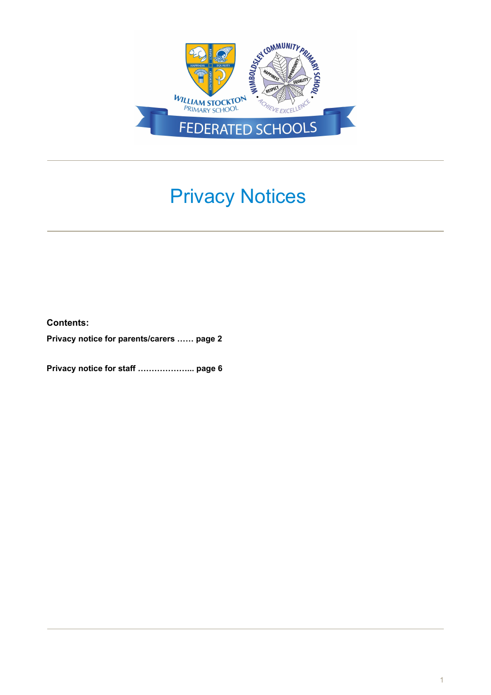

# Privacy Notices

**Contents:**

**Privacy notice for parents/carers …… page 2**

**Privacy notice for staff ………………... page 6**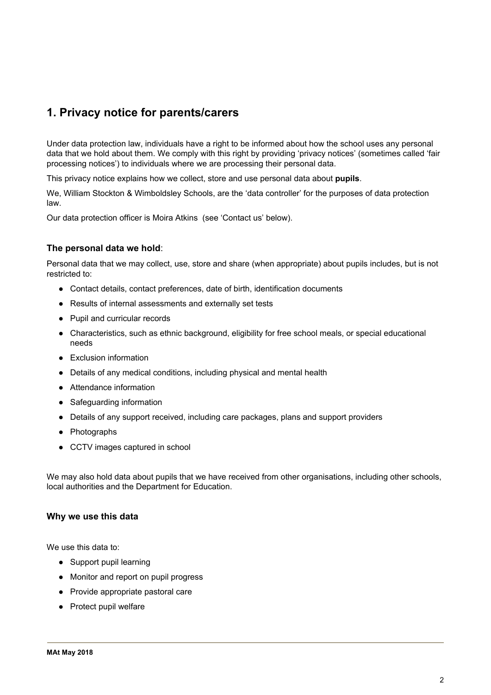# **1. Privacy notice for parents/carers**

Under data protection law, individuals have a right to be informed about how the school uses any personal data that we hold about them. We comply with this right by providing 'privacy notices' (sometimes called 'fair processing notices') to individuals where we are processing their personal data.

This privacy notice explains how we collect, store and use personal data about **pupils**.

We, William Stockton & Wimboldsley Schools, are the 'data controller' for the purposes of data protection law.

Our data protection officer is Moira Atkins (see 'Contact us' below).

### **The personal data we hold**:

Personal data that we may collect, use, store and share (when appropriate) about pupils includes, but is not restricted to:

- Contact details, contact preferences, date of birth, identification documents
- Results of internal assessments and externally set tests
- Pupil and curricular records
- Characteristics, such as ethnic background, eligibility for free school meals, or special educational needs
- Exclusion information
- Details of any medical conditions, including physical and mental health
- Attendance information
- Safeguarding information
- Details of any support received, including care packages, plans and support providers
- Photographs
- CCTV images captured in school

We may also hold data about pupils that we have received from other organisations, including other schools, local authorities and the Department for Education.

### **Why we use this data**

We use this data to:

- Support pupil learning
- Monitor and report on pupil progress
- Provide appropriate pastoral care
- Protect pupil welfare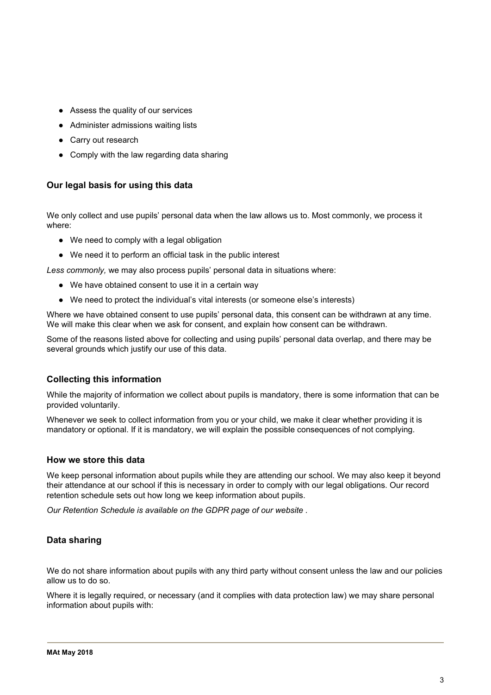- Assess the quality of our services
- Administer admissions waiting lists
- Carry out research
- Comply with the law regarding data sharing

# **Our legal basis for using this data**

We only collect and use pupils' personal data when the law allows us to. Most commonly, we process it where:

- We need to comply with a legal obligation
- We need it to perform an official task in the public interest

*Less commonly,* we may also process pupils' personal data in situations where:

- We have obtained consent to use it in a certain way
- We need to protect the individual's vital interests (or someone else's interests)

Where we have obtained consent to use pupils' personal data, this consent can be withdrawn at any time. We will make this clear when we ask for consent, and explain how consent can be withdrawn.

Some of the reasons listed above for collecting and using pupils' personal data overlap, and there may be several grounds which justify our use of this data.

### **Collecting this information**

While the majority of information we collect about pupils is mandatory, there is some information that can be provided voluntarily.

Whenever we seek to collect information from you or your child, we make it clear whether providing it is mandatory or optional. If it is mandatory, we will explain the possible consequences of not complying.

### **How we store this data**

We keep personal information about pupils while they are attending our school. We may also keep it beyond their attendance at our school if this is necessary in order to comply with our legal obligations. Our record retention schedule sets out how long we keep information about pupils.

*Our Retention Schedule is available on the GDPR page of our website .*

# **Data sharing**

We do not share information about pupils with any third party without consent unless the law and our policies allow us to do so.

Where it is legally required, or necessary (and it complies with data protection law) we may share personal information about pupils with: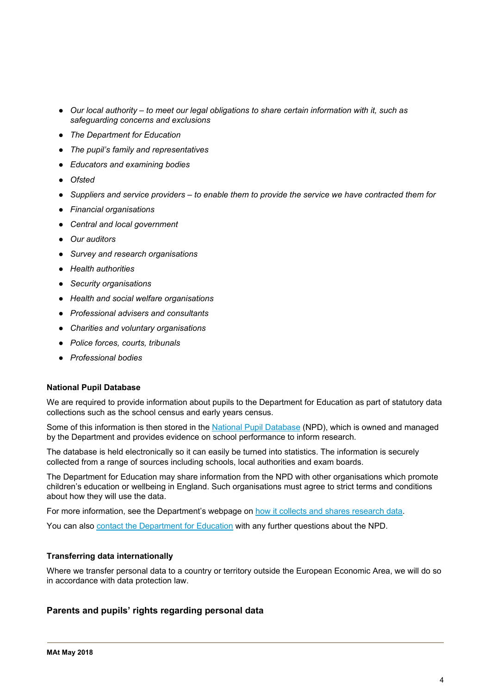- *Our local authority – to meet our legal obligations to share certain information with it, such as safeguarding concerns and exclusions*
- *The Department for Education*
- *The pupil's family and representatives*
- *Educators and examining bodies*
- *Ofsted*
- *Suppliers and service providers – to enable them to provide the service we have contracted them for*
- *Financial organisations*
- *Central and local government*
- *Our auditors*
- *Survey and research organisations*
- *Health authorities*
- *Security organisations*
- *Health and social welfare organisations*
- *Professional advisers and consultants*
- *Charities and voluntary organisations*
- *Police forces, courts, tribunals*
- *Professional bodies*

### **National Pupil Database**

We are required to provide information about pupils to the Department for Education as part of statutory data collections such as the school census and early years census.

Some of this information is then stored in the National Pupil [Database](https://www.gov.uk/government/publications/national-pupil-database-user-guide-and-supporting-information) (NPD), which is owned and managed by the Department and provides evidence on school performance to inform research.

The database is held electronically so it can easily be turned into statistics. The information is securely collected from a range of sources including schools, local authorities and exam boards.

The Department for Education may share information from the NPD with other organisations which promote children's education or wellbeing in England. Such organisations must agree to strict terms and conditions about how they will use the data.

For more information, see the Department's webpage on how it collects and shares [research](https://www.gov.uk/data-protection-how-we-collect-and-share-research-data) data.

You can also contact the [Department](https://www.gov.uk/contact-dfe) for Education with any further questions about the NPD.

### **Transferring data internationally**

Where we transfer personal data to a country or territory outside the European Economic Area, we will do so in accordance with data protection law.

# **Parents and pupils' rights regarding personal data**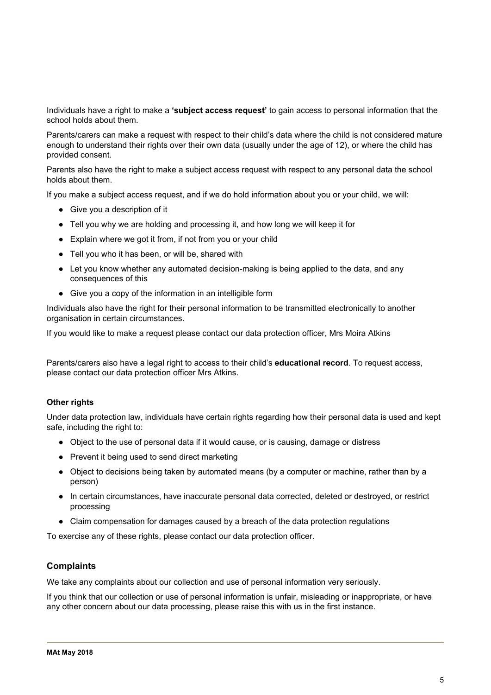Individuals have a right to make a **'subject access request'** to gain access to personal information that the school holds about them.

Parents/carers can make a request with respect to their child's data where the child is not considered mature enough to understand their rights over their own data (usually under the age of 12), or where the child has provided consent.

Parents also have the right to make a subject access request with respect to any personal data the school holds about them.

If you make a subject access request, and if we do hold information about you or your child, we will:

- Give you a description of it
- Tell you why we are holding and processing it, and how long we will keep it for
- Explain where we got it from, if not from you or your child
- Tell you who it has been, or will be, shared with
- Let you know whether any automated decision-making is being applied to the data, and any consequences of this
- Give you a copy of the information in an intelligible form

Individuals also have the right for their personal information to be transmitted electronically to another organisation in certain circumstances.

If you would like to make a request please contact our data protection officer, Mrs Moira Atkins

Parents/carers also have a legal right to access to their child's **educational record**. To request access, please contact our data protection officer Mrs Atkins.

### **Other rights**

Under data protection law, individuals have certain rights regarding how their personal data is used and kept safe, including the right to:

- Object to the use of personal data if it would cause, or is causing, damage or distress
- Prevent it being used to send direct marketing
- Object to decisions being taken by automated means (by a computer or machine, rather than by a person)
- In certain circumstances, have inaccurate personal data corrected, deleted or destroyed, or restrict processing
- Claim compensation for damages caused by a breach of the data protection regulations

To exercise any of these rights, please contact our data protection officer.

### **Complaints**

We take any complaints about our collection and use of personal information very seriously.

If you think that our collection or use of personal information is unfair, misleading or inappropriate, or have any other concern about our data processing, please raise this with us in the first instance.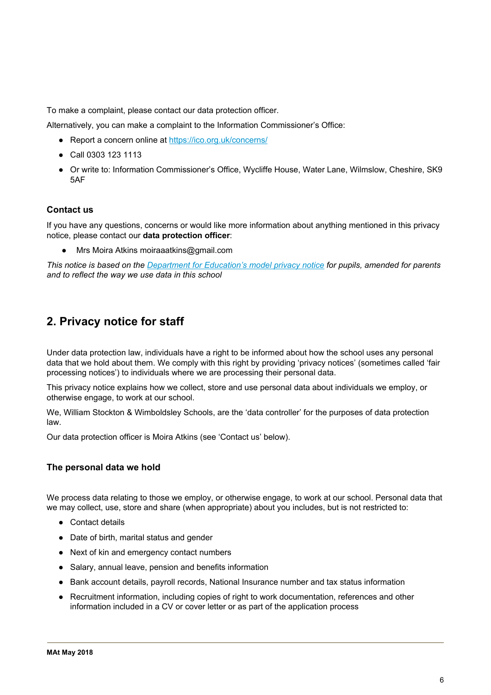To make a complaint, please contact our data protection officer.

Alternatively, you can make a complaint to the Information Commissioner's Office:

- Report a concern online at <https://ico.org.uk/concerns/>
- Call 0303 123 1113
- Or write to: Information Commissioner's Office, Wycliffe House, Water Lane, Wilmslow, Cheshire, SK9 5AF

# **Contact us**

If you have any questions, concerns or would like more information about anything mentioned in this privacy notice, please contact our **data protection officer**:

Mrs Moira Atkins moiraaatkins@gmail.com

This notice is based on the [Department](https://www.gov.uk/government/publications/data-protection-and-privacy-privacy-notices) for Education's model privacy notice for pupils, amended for parents *and to reflect the way we use data in this school*

# **2. Privacy notice for staff**

Under data protection law, individuals have a right to be informed about how the school uses any personal data that we hold about them. We comply with this right by providing 'privacy notices' (sometimes called 'fair processing notices') to individuals where we are processing their personal data.

This privacy notice explains how we collect, store and use personal data about individuals we employ, or otherwise engage, to work at our school.

We, William Stockton & Wimboldsley Schools, are the 'data controller' for the purposes of data protection law.

Our data protection officer is Moira Atkins (see 'Contact us' below).

# **The personal data we hold**

We process data relating to those we employ, or otherwise engage, to work at our school. Personal data that we may collect, use, store and share (when appropriate) about you includes, but is not restricted to:

- Contact details
- Date of birth, marital status and gender
- Next of kin and emergency contact numbers
- Salary, annual leave, pension and benefits information
- Bank account details, payroll records, National Insurance number and tax status information
- Recruitment information, including copies of right to work documentation, references and other information included in a CV or cover letter or as part of the application process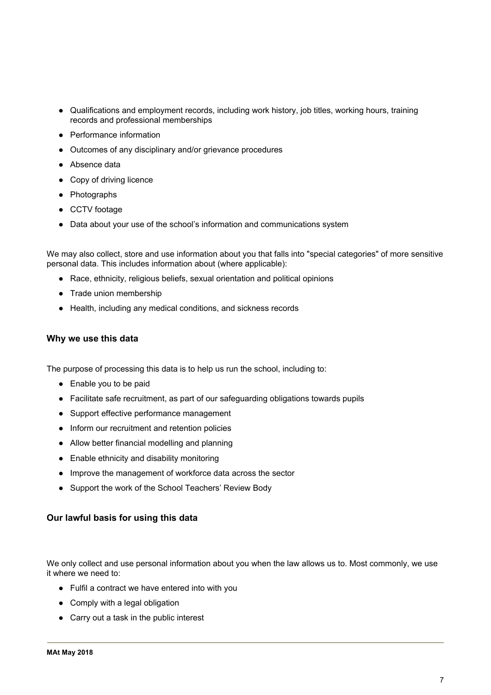- Qualifications and employment records, including work history, job titles, working hours, training records and professional memberships
- Performance information
- Outcomes of any disciplinary and/or grievance procedures
- Absence data
- Copy of driving licence
- Photographs
- CCTV footage
- Data about your use of the school's information and communications system

We may also collect, store and use information about you that falls into "special categories" of more sensitive personal data. This includes information about (where applicable):

- Race, ethnicity, religious beliefs, sexual orientation and political opinions
- Trade union membership
- Health, including any medical conditions, and sickness records

### **Why we use this data**

The purpose of processing this data is to help us run the school, including to:

- Enable you to be paid
- Facilitate safe recruitment, as part of our safeguarding obligations towards pupils
- Support effective performance management
- Inform our recruitment and retention policies
- Allow better financial modelling and planning
- Enable ethnicity and disability monitoring
- Improve the management of workforce data across the sector
- Support the work of the School Teachers' Review Body

### **Our lawful basis for using this data**

We only collect and use personal information about you when the law allows us to. Most commonly, we use it where we need to:

- Fulfil a contract we have entered into with you
- Comply with a legal obligation
- Carry out a task in the public interest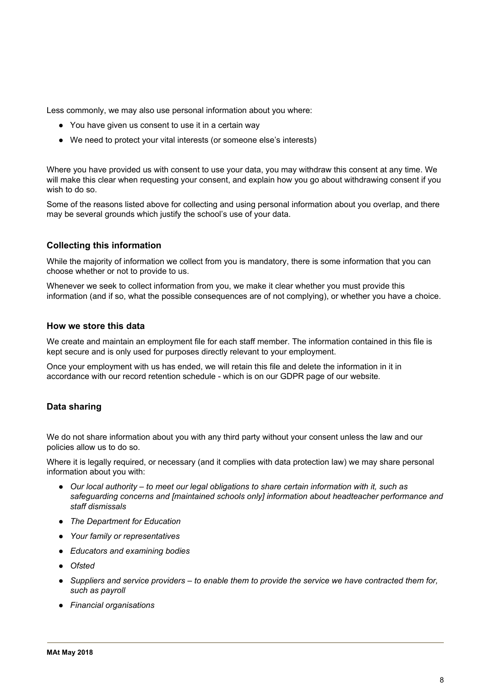Less commonly, we may also use personal information about you where:

- You have given us consent to use it in a certain way
- We need to protect your vital interests (or someone else's interests)

Where you have provided us with consent to use your data, you may withdraw this consent at any time. We will make this clear when requesting your consent, and explain how you go about withdrawing consent if you wish to do so.

Some of the reasons listed above for collecting and using personal information about you overlap, and there may be several grounds which justify the school's use of your data.

# **Collecting this information**

While the majority of information we collect from you is mandatory, there is some information that you can choose whether or not to provide to us.

Whenever we seek to collect information from you, we make it clear whether you must provide this information (and if so, what the possible consequences are of not complying), or whether you have a choice.

### **How we store this data**

We create and maintain an employment file for each staff member. The information contained in this file is kept secure and is only used for purposes directly relevant to your employment.

Once your employment with us has ended, we will retain this file and delete the information in it in accordance with our record retention schedule - which is on our GDPR page of our website*.*

# **Data sharing**

We do not share information about you with any third party without your consent unless the law and our policies allow us to do so.

Where it is legally required, or necessary (and it complies with data protection law) we may share personal information about you with:

- *Our local authority – to meet our legal obligations to share certain information with it, such as safeguarding concerns and [maintained schools only] information about headteacher performance and staff dismissals*
- *The Department for Education*
- *Your family or representatives*
- *Educators and examining bodies*
- *Ofsted*
- *Suppliers and service providers – to enable them to provide the service we have contracted them for, such as payroll*
- *Financial organisations*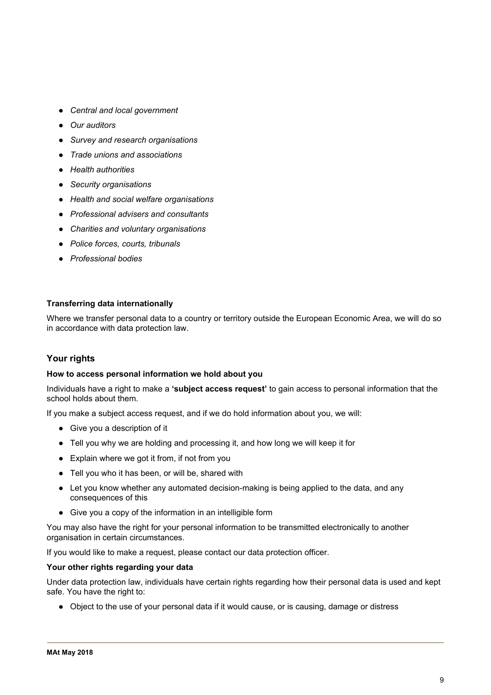- *Central and local government*
- *Our auditors*
- *Survey and research organisations*
- *Trade unions and associations*
- *Health authorities*
- *Security organisations*
- *Health and social welfare organisations*
- *Professional advisers and consultants*
- *Charities and voluntary organisations*
- *Police forces, courts, tribunals*
- *Professional bodies*

### **Transferring data internationally**

Where we transfer personal data to a country or territory outside the European Economic Area, we will do so in accordance with data protection law.

# **Your rights**

#### **How to access personal information we hold about you**

Individuals have a right to make a **'subject access request'** to gain access to personal information that the school holds about them.

If you make a subject access request, and if we do hold information about you, we will:

- Give you a description of it
- Tell you why we are holding and processing it, and how long we will keep it for
- Explain where we got it from, if not from you
- Tell you who it has been, or will be, shared with
- Let you know whether any automated decision-making is being applied to the data, and any consequences of this
- Give you a copy of the information in an intelligible form

You may also have the right for your personal information to be transmitted electronically to another organisation in certain circumstances.

If you would like to make a request, please contact our data protection officer.

#### **Your other rights regarding your data**

Under data protection law, individuals have certain rights regarding how their personal data is used and kept safe. You have the right to:

● Object to the use of your personal data if it would cause, or is causing, damage or distress